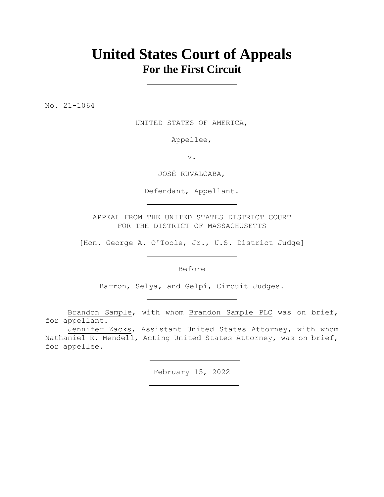# **United States Court of Appeals For the First Circuit**

No. 21-1064

UNITED STATES OF AMERICA,

Appellee,

v.

JOSÉ RUVALCABA,

Defendant, Appellant.

APPEAL FROM THE UNITED STATES DISTRICT COURT FOR THE DISTRICT OF MASSACHUSETTS

[Hon. George A. O'Toole, Jr., U.S. District Judge]

Before

Barron, Selya, and Gelpí, Circuit Judges.

Brandon Sample, with whom Brandon Sample PLC was on brief, for appellant.

Jennifer Zacks, Assistant United States Attorney, with whom Nathaniel R. Mendell, Acting United States Attorney, was on brief, for appellee.

February 15, 2022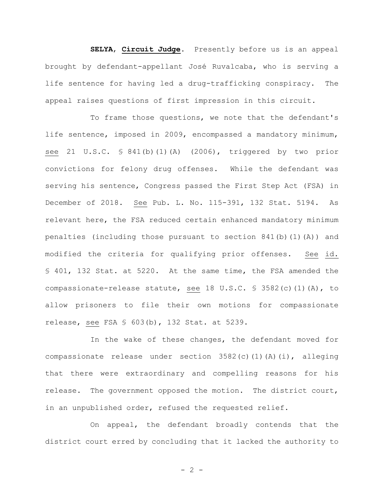**SELYA**, **Circuit Judge**. Presently before us is an appeal brought by defendant-appellant José Ruvalcaba, who is serving a life sentence for having led a drug-trafficking conspiracy. The appeal raises questions of first impression in this circuit.

To frame those questions, we note that the defendant's life sentence, imposed in 2009, encompassed a mandatory minimum, see 21 U.S.C. § 841(b)(1)(A) (2006), triggered by two prior convictions for felony drug offenses. While the defendant was serving his sentence, Congress passed the First Step Act (FSA) in December of 2018. See Pub. L. No. 115-391, 132 Stat. 5194. As relevant here, the FSA reduced certain enhanced mandatory minimum penalties (including those pursuant to section  $841(b)(1)(A)$ ) and modified the criteria for qualifying prior offenses. See id. § 401, 132 Stat. at 5220. At the same time, the FSA amended the compassionate-release statute, see 18 U.S.C. § 3582(c)(1)(A), to allow prisoners to file their own motions for compassionate release, see FSA § 603(b), 132 Stat. at 5239.

In the wake of these changes, the defendant moved for compassionate release under section 3582(c)(1)(A)(i), alleging that there were extraordinary and compelling reasons for his release. The government opposed the motion. The district court, in an unpublished order, refused the requested relief.

On appeal, the defendant broadly contends that the district court erred by concluding that it lacked the authority to

 $- 2 -$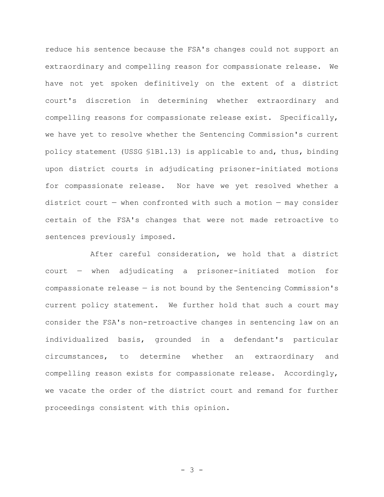reduce his sentence because the FSA's changes could not support an extraordinary and compelling reason for compassionate release. We have not yet spoken definitively on the extent of a district court's discretion in determining whether extraordinary and compelling reasons for compassionate release exist. Specifically, we have yet to resolve whether the Sentencing Commission's current policy statement (USSG §1B1.13) is applicable to and, thus, binding upon district courts in adjudicating prisoner-initiated motions for compassionate release. Nor have we yet resolved whether a district court  $-$  when confronted with such a motion  $-$  may consider certain of the FSA's changes that were not made retroactive to sentences previously imposed.

After careful consideration, we hold that a district court — when adjudicating a prisoner-initiated motion for compassionate release — is not bound by the Sentencing Commission's current policy statement. We further hold that such a court may consider the FSA's non-retroactive changes in sentencing law on an individualized basis, grounded in a defendant's particular circumstances, to determine whether an extraordinary and compelling reason exists for compassionate release. Accordingly, we vacate the order of the district court and remand for further proceedings consistent with this opinion.

- 3 -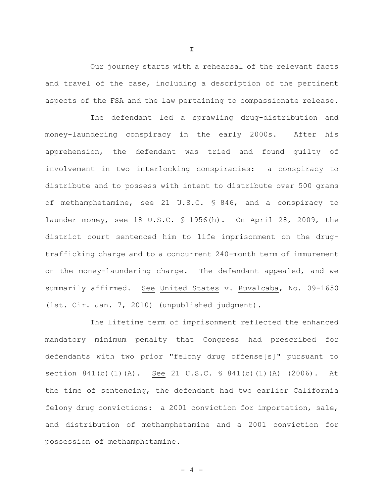Our journey starts with a rehearsal of the relevant facts and travel of the case, including a description of the pertinent aspects of the FSA and the law pertaining to compassionate release.

The defendant led a sprawling drug-distribution and money-laundering conspiracy in the early 2000s. After his apprehension, the defendant was tried and found guilty of involvement in two interlocking conspiracies: a conspiracy to distribute and to possess with intent to distribute over 500 grams of methamphetamine, see 21 U.S.C. § 846, and a conspiracy to launder money, see 18 U.S.C. § 1956(h). On April 28, 2009, the district court sentenced him to life imprisonment on the drugtrafficking charge and to a concurrent 240-month term of immurement on the money-laundering charge. The defendant appealed, and we summarily affirmed. See United States v. Ruvalcaba, No. 09-1650 (1st. Cir. Jan. 7, 2010) (unpublished judgment).

The lifetime term of imprisonment reflected the enhanced mandatory minimum penalty that Congress had prescribed for defendants with two prior "felony drug offense[s]" pursuant to section 841(b)(1)(A). See 21 U.S.C. § 841(b)(1)(A) (2006). At the time of sentencing, the defendant had two earlier California felony drug convictions: a 2001 conviction for importation, sale, and distribution of methamphetamine and a 2001 conviction for possession of methamphetamine.

**I**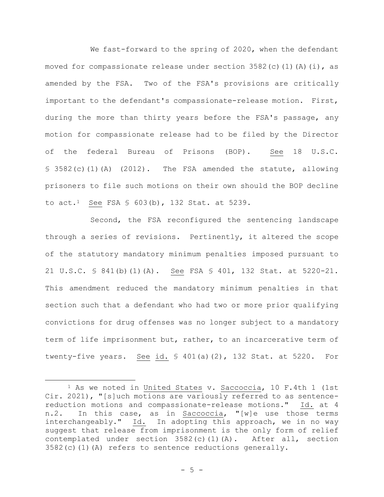We fast-forward to the spring of 2020, when the defendant moved for compassionate release under section  $3582(c)(1)(A)(i)$ , as amended by the FSA. Two of the FSA's provisions are critically important to the defendant's compassionate-release motion. First, during the more than thirty years before the FSA's passage, any motion for compassionate release had to be filed by the Director of the federal Bureau of Prisons (BOP). See 18 U.S.C. § 3582(c)(1)(A) (2012). The FSA amended the statute, allowing prisoners to file such motions on their own should the BOP decline to  $act.^1$  See FSA § 603(b), 132 Stat. at 5239.

Second, the FSA reconfigured the sentencing landscape through a series of revisions. Pertinently, it altered the scope of the statutory mandatory minimum penalties imposed pursuant to 21 U.S.C. § 841(b)(1)(A). See FSA § 401, 132 Stat. at 5220-21. This amendment reduced the mandatory minimum penalties in that section such that a defendant who had two or more prior qualifying convictions for drug offenses was no longer subject to a mandatory term of life imprisonment but, rather, to an incarcerative term of twenty-five years. See id. § 401(a)(2), 132 Stat. at 5220. For

<sup>&</sup>lt;sup>1</sup> As we noted in United States v. Saccoccia, 10 F.4th 1 (1st Cir. 2021), "[s]uch motions are variously referred to as sentencereduction motions and compassionate-release motions." Id. at 4 n.2. In this case, as in Saccoccia, "[w]e use those terms interchangeably." Id. In adopting this approach, we in no way suggest that release from imprisonment is the only form of relief contemplated under section  $3582(c)(1)(A)$ . After all, section  $3582(c)(1)(A)$  refers to sentence reductions generally.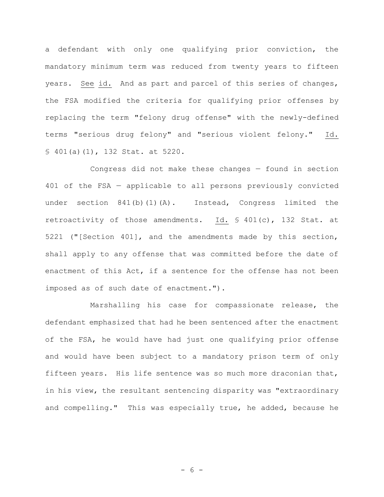a defendant with only one qualifying prior conviction, the mandatory minimum term was reduced from twenty years to fifteen years. See id. And as part and parcel of this series of changes, the FSA modified the criteria for qualifying prior offenses by replacing the term "felony drug offense" with the newly-defined terms "serious drug felony" and "serious violent felony." Id. § 401(a)(1), 132 Stat. at 5220.

Congress did not make these changes — found in section 401 of the FSA — applicable to all persons previously convicted under section 841(b)(1)(A). Instead, Congress limited the retroactivity of those amendments. Id. § 401(c), 132 Stat. at 5221 ("[Section 401], and the amendments made by this section, shall apply to any offense that was committed before the date of enactment of this Act, if a sentence for the offense has not been imposed as of such date of enactment.").

Marshalling his case for compassionate release, the defendant emphasized that had he been sentenced after the enactment of the FSA, he would have had just one qualifying prior offense and would have been subject to a mandatory prison term of only fifteen years. His life sentence was so much more draconian that, in his view, the resultant sentencing disparity was "extraordinary and compelling." This was especially true, he added, because he

- 6 -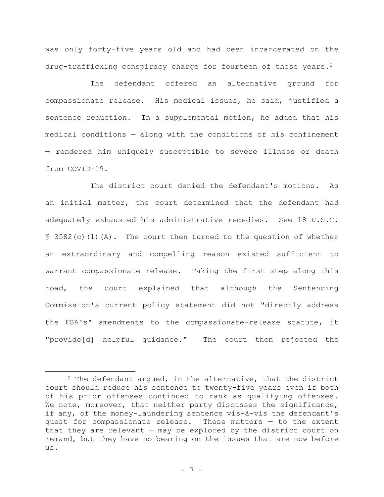was only forty-five years old and had been incarcerated on the drug-trafficking conspiracy charge for fourteen of those years.<sup>2</sup>

The defendant offered an alternative ground for compassionate release. His medical issues, he said, justified a sentence reduction. In a supplemental motion, he added that his medical conditions — along with the conditions of his confinement — rendered him uniquely susceptible to severe illness or death from COVID-19.

The district court denied the defendant's motions. As an initial matter, the court determined that the defendant had adequately exhausted his administrative remedies. See 18 U.S.C.  $$3582(c)(1)(A)$ . The court then turned to the question of whether an extraordinary and compelling reason existed sufficient to warrant compassionate release. Taking the first step along this road, the court explained that although the Sentencing Commission's current policy statement did not "directly address the FSA's" amendments to the compassionate-release statute, it "provide[d] helpful guidance." The court then rejected the

 $2$  The defendant argued, in the alternative, that the district court should reduce his sentence to twenty-five years even if both of his prior offenses continued to rank as qualifying offenses. We note, moreover, that neither party discusses the significance, if any, of the money-laundering sentence vis-à-vis the defendant's quest for compassionate release. These matters — to the extent that they are relevant — may be explored by the district court on remand, but they have no bearing on the issues that are now before us.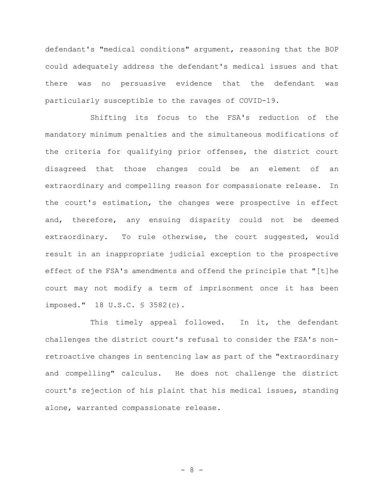defendant's "medical conditions" argument, reasoning that the BOP could adequately address the defendant's medical issues and that there was no persuasive evidence that the defendant was particularly susceptible to the ravages of COVID-19.

Shifting its focus to the FSA's reduction of the mandatory minimum penalties and the simultaneous modifications of the criteria for qualifying prior offenses, the district court disagreed that those changes could be an element of an extraordinary and compelling reason for compassionate release. In the court's estimation, the changes were prospective in effect and, therefore, any ensuing disparity could not be deemed extraordinary. To rule otherwise, the court suggested, would result in an inappropriate judicial exception to the prospective effect of the FSA's amendments and offend the principle that "[t]he court may not modify a term of imprisonment once it has been imposed." 18 U.S.C. § 3582(c).

This timely appeal followed. In it, the defendant challenges the district court's refusal to consider the FSA's nonretroactive changes in sentencing law as part of the "extraordinary and compelling" calculus. He does not challenge the district court's rejection of his plaint that his medical issues, standing alone, warranted compassionate release.

- 8 -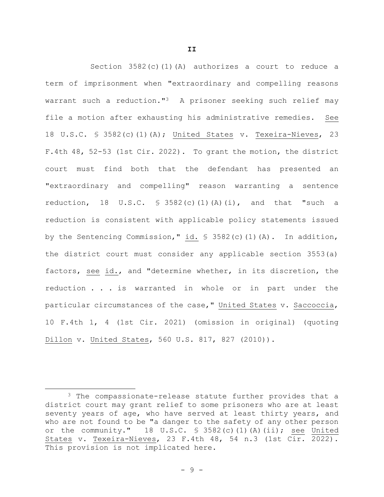Section  $3582(c)(1)(A)$  authorizes a court to reduce a term of imprisonment when "extraordinary and compelling reasons warrant such a reduction."<sup>3</sup> A prisoner seeking such relief may file a motion after exhausting his administrative remedies. See 18 U.S.C. § 3582(c)(1)(A); United States v. Texeira-Nieves, 23 F.4th 48, 52-53 (1st Cir. 2022). To grant the motion, the district court must find both that the defendant has presented an "extraordinary and compelling" reason warranting a sentence reduction, 18 U.S.C.  $\frac{1}{5}$  3582(c)(1)(A)(i), and that "such a reduction is consistent with applicable policy statements issued by the Sentencing Commission," id. § 3582(c)(1)(A). In addition, the district court must consider any applicable section 3553(a) factors, see id., and "determine whether, in its discretion, the reduction . . . is warranted in whole or in part under the particular circumstances of the case," United States v. Saccoccia, 10 F.4th 1, 4 (1st Cir. 2021) (omission in original) (quoting Dillon v. United States, 560 U.S. 817, 827 (2010)).

<sup>&</sup>lt;sup>3</sup> The compassionate-release statute further provides that a district court may grant relief to some prisoners who are at least seventy years of age, who have served at least thirty years, and who are not found to be "a danger to the safety of any other person or the community." 18 U.S.C. § 3582(c)(1)(A)(ii); see United States v. Texeira-Nieves, 23 F.4th 48, 54 n.3 (1st Cir. 2022). This provision is not implicated here.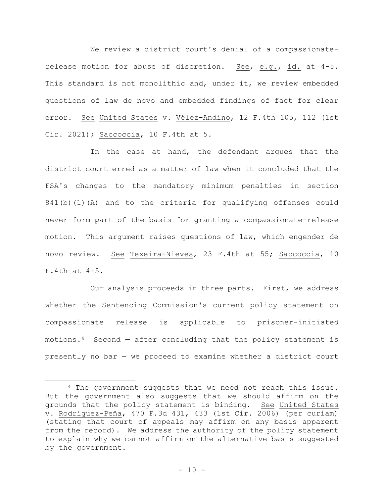We review a district court's denial of a compassionaterelease motion for abuse of discretion. See, e.g., id. at 4-5. This standard is not monolithic and, under it, we review embedded questions of law de novo and embedded findings of fact for clear error. See United States v. Vélez-Andino, 12 F.4th 105, 112 (1st Cir. 2021); Saccoccia, 10 F.4th at 5.

In the case at hand, the defendant argues that the district court erred as a matter of law when it concluded that the FSA's changes to the mandatory minimum penalties in section 841(b)(1)(A) and to the criteria for qualifying offenses could never form part of the basis for granting a compassionate-release motion. This argument raises questions of law, which engender de novo review. See Texeira-Nieves, 23 F.4th at 55; Saccoccia, 10 F.4th at 4-5.

Our analysis proceeds in three parts. First, we address whether the Sentencing Commission's current policy statement on compassionate release is applicable to prisoner-initiated motions.<sup>4</sup> Second – after concluding that the policy statement is presently no bar — we proceed to examine whether a district court

<sup>&</sup>lt;sup>4</sup> The government suggests that we need not reach this issue. But the government also suggests that we should affirm on the grounds that the policy statement is binding. See United States v. Rodríguez-Peña, 470 F.3d 431, 433 (1st Cir. 2006) (per curiam) (stating that court of appeals may affirm on any basis apparent from the record). We address the authority of the policy statement to explain why we cannot affirm on the alternative basis suggested by the government.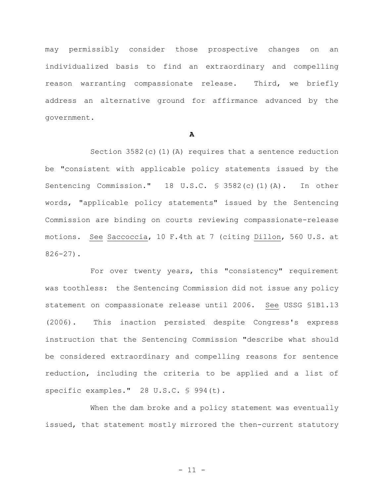may permissibly consider those prospective changes on an individualized basis to find an extraordinary and compelling reason warranting compassionate release. Third, we briefly address an alternative ground for affirmance advanced by the government.

### **A**

Section 3582(c)(1)(A) requires that a sentence reduction be "consistent with applicable policy statements issued by the Sentencing Commission." 18 U.S.C. § 3582(c)(1)(A). In other words, "applicable policy statements" issued by the Sentencing Commission are binding on courts reviewing compassionate-release motions. See Saccoccia, 10 F.4th at 7 (citing Dillon, 560 U.S. at 826-27).

For over twenty years, this "consistency" requirement was toothless: the Sentencing Commission did not issue any policy statement on compassionate release until 2006. See USSG §1B1.13 (2006). This inaction persisted despite Congress's express instruction that the Sentencing Commission "describe what should be considered extraordinary and compelling reasons for sentence reduction, including the criteria to be applied and a list of specific examples." 28 U.S.C. § 994(t).

When the dam broke and a policy statement was eventually issued, that statement mostly mirrored the then-current statutory

- 11 -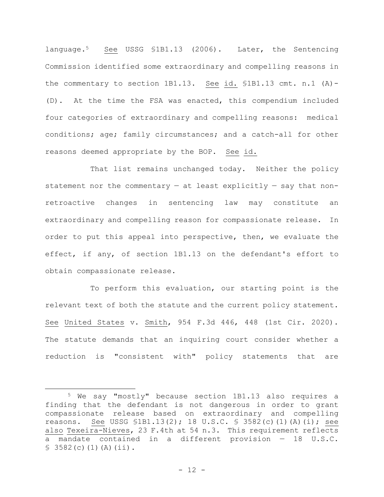language.5 See USSG §1B1.13 (2006). Later, the Sentencing Commission identified some extraordinary and compelling reasons in the commentary to section 1B1.13. See id. §1B1.13 cmt. n.1 (A)- (D). At the time the FSA was enacted, this compendium included four categories of extraordinary and compelling reasons: medical conditions; age; family circumstances; and a catch-all for other reasons deemed appropriate by the BOP. See id.

That list remains unchanged today. Neither the policy statement nor the commentary  $-$  at least explicitly  $-$  say that nonretroactive changes in sentencing law may constitute an extraordinary and compelling reason for compassionate release. In order to put this appeal into perspective, then, we evaluate the effect, if any, of section 1B1.13 on the defendant's effort to obtain compassionate release.

To perform this evaluation, our starting point is the relevant text of both the statute and the current policy statement. See United States v. Smith, 954 F.3d 446, 448 (1st Cir. 2020). The statute demands that an inquiring court consider whether a reduction is "consistent with" policy statements that are

<sup>5</sup> We say "mostly" because section 1B1.13 also requires a finding that the defendant is not dangerous in order to grant compassionate release based on extraordinary and compelling reasons. See USSG §1B1.13(2); 18 U.S.C. § 3582(c)(1)(A)(i); see also Texeira-Nieves, 23 F.4th at 54 n.3. This requirement reflects a mandate contained in a different provision — 18 U.S.C.  $$3582(c)(1)(A)(ii).$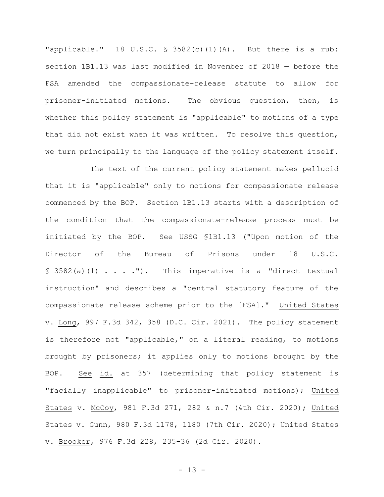"applicable." 18 U.S.C. § 3582(c)(1)(A). But there is a rub: section 1B1.13 was last modified in November of 2018 — before the FSA amended the compassionate-release statute to allow for prisoner-initiated motions. The obvious question, then, is whether this policy statement is "applicable" to motions of a type that did not exist when it was written. To resolve this question, we turn principally to the language of the policy statement itself.

The text of the current policy statement makes pellucid that it is "applicable" only to motions for compassionate release commenced by the BOP. Section 1B1.13 starts with a description of the condition that the compassionate-release process must be initiated by the BOP. See USSG §1B1.13 ("Upon motion of the Director of the Bureau of Prisons under 18 U.S.C.  $\S$  3582(a)(1) . . . ."). This imperative is a "direct textual instruction" and describes a "central statutory feature of the compassionate release scheme prior to the [FSA]." United States v. Long, 997 F.3d 342, 358 (D.C. Cir. 2021). The policy statement is therefore not "applicable," on a literal reading, to motions brought by prisoners; it applies only to motions brought by the BOP. See id. at 357 (determining that policy statement is "facially inapplicable" to prisoner-initiated motions); United States v. McCoy, 981 F.3d 271, 282 & n.7 (4th Cir. 2020); United States v. Gunn, 980 F.3d 1178, 1180 (7th Cir. 2020); United States v. Brooker, 976 F.3d 228, 235-36 (2d Cir. 2020).

- 13 -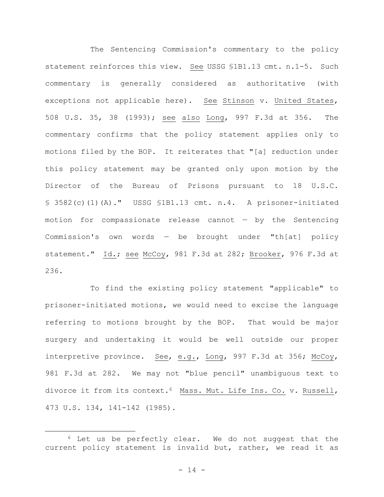The Sentencing Commission's commentary to the policy statement reinforces this view. See USSG §1B1.13 cmt. n.1-5. Such commentary is generally considered as authoritative (with exceptions not applicable here). See Stinson v. United States, 508 U.S. 35, 38 (1993); see also Long, 997 F.3d at 356. The commentary confirms that the policy statement applies only to motions filed by the BOP. It reiterates that "[a] reduction under this policy statement may be granted only upon motion by the Director of the Bureau of Prisons pursuant to 18 U.S.C. § 3582(c)(1)(A)." USSG §1B1.13 cmt. n.4. A prisoner-initiated motion for compassionate release cannot — by the Sentencing Commission's own words — be brought under "th[at] policy statement." Id.; see McCoy, 981 F.3d at 282; Brooker, 976 F.3d at 236.

To find the existing policy statement "applicable" to prisoner-initiated motions, we would need to excise the language referring to motions brought by the BOP. That would be major surgery and undertaking it would be well outside our proper interpretive province. See, e.g., Long, 997 F.3d at 356; McCoy, 981 F.3d at 282. We may not "blue pencil" unambiguous text to divorce it from its context.6 Mass. Mut. Life Ins. Co. v. Russell, 473 U.S. 134, 141-142 (1985).

<sup>6</sup> Let us be perfectly clear. We do not suggest that the current policy statement is invalid but, rather, we read it as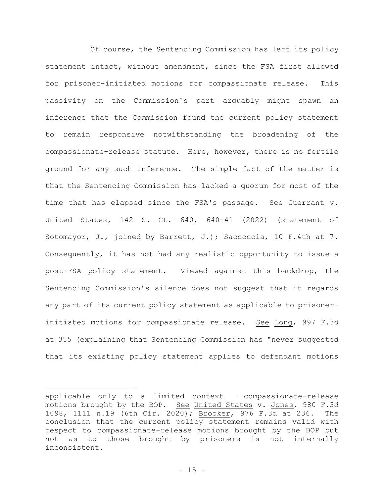Of course, the Sentencing Commission has left its policy statement intact, without amendment, since the FSA first allowed for prisoner-initiated motions for compassionate release. This passivity on the Commission's part arguably might spawn an inference that the Commission found the current policy statement to remain responsive notwithstanding the broadening of the compassionate-release statute. Here, however, there is no fertile ground for any such inference. The simple fact of the matter is that the Sentencing Commission has lacked a quorum for most of the time that has elapsed since the FSA's passage. See Guerrant v. United States, 142 S. Ct. 640, 640-41 (2022) (statement of Sotomayor, J., joined by Barrett, J.); Saccoccia, 10 F.4th at 7. Consequently, it has not had any realistic opportunity to issue a post-FSA policy statement. Viewed against this backdrop, the Sentencing Commission's silence does not suggest that it regards any part of its current policy statement as applicable to prisonerinitiated motions for compassionate release. See Long, 997 F.3d at 355 (explaining that Sentencing Commission has "never suggested that its existing policy statement applies to defendant motions

applicable only to a limited context — compassionate-release motions brought by the BOP. See United States v. Jones, 980 F.3d 1098, 1111 n.19 (6th Cir. 2020); Brooker, 976 F.3d at 236. The conclusion that the current policy statement remains valid with respect to compassionate-release motions brought by the BOP but not as to those brought by prisoners is not internally inconsistent.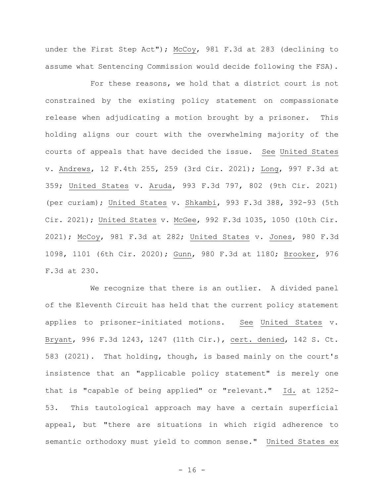under the First Step Act"); McCoy, 981 F.3d at 283 (declining to assume what Sentencing Commission would decide following the FSA).

For these reasons, we hold that a district court is not constrained by the existing policy statement on compassionate release when adjudicating a motion brought by a prisoner. This holding aligns our court with the overwhelming majority of the courts of appeals that have decided the issue. See United States v. Andrews, 12 F.4th 255, 259 (3rd Cir. 2021); Long, 997 F.3d at 359; United States v. Aruda, 993 F.3d 797, 802 (9th Cir. 2021) (per curiam); United States v. Shkambi, 993 F.3d 388, 392-93 (5th Cir. 2021); United States v. McGee, 992 F.3d 1035, 1050 (10th Cir. 2021); McCoy, 981 F.3d at 282; United States v. Jones, 980 F.3d 1098, 1101 (6th Cir. 2020); Gunn, 980 F.3d at 1180; Brooker, 976 F.3d at 230.

We recognize that there is an outlier. A divided panel of the Eleventh Circuit has held that the current policy statement applies to prisoner-initiated motions. See United States v. Bryant, 996 F.3d 1243, 1247 (11th Cir.), cert. denied, 142 S. Ct. 583 (2021). That holding, though, is based mainly on the court's insistence that an "applicable policy statement" is merely one that is "capable of being applied" or "relevant." Id. at 1252-53. This tautological approach may have a certain superficial appeal, but "there are situations in which rigid adherence to semantic orthodoxy must yield to common sense." United States ex

 $- 16 -$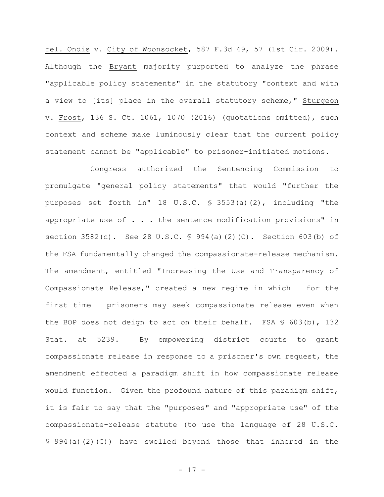rel. Ondis v. City of Woonsocket, 587 F.3d 49, 57 (1st Cir. 2009). Although the Bryant majority purported to analyze the phrase "applicable policy statements" in the statutory "context and with a view to [its] place in the overall statutory scheme," Sturgeon v. Frost, 136 S. Ct. 1061, 1070 (2016) (quotations omitted), such context and scheme make luminously clear that the current policy statement cannot be "applicable" to prisoner-initiated motions.

Congress authorized the Sentencing Commission to promulgate "general policy statements" that would "further the purposes set forth in" 18 U.S.C. § 3553(a)(2), including "the appropriate use of  $\ldots$  . the sentence modification provisions" in section 3582(c). See 28 U.S.C. § 994(a)(2)(C). Section 603(b) of the FSA fundamentally changed the compassionate-release mechanism. The amendment, entitled "Increasing the Use and Transparency of Compassionate Release," created a new regime in which  $-$  for the first time — prisoners may seek compassionate release even when the BOP does not deign to act on their behalf. FSA § 603(b), 132 Stat. at 5239. By empowering district courts to grant compassionate release in response to a prisoner's own request, the amendment effected a paradigm shift in how compassionate release would function. Given the profound nature of this paradigm shift, it is fair to say that the "purposes" and "appropriate use" of the compassionate-release statute (to use the language of 28 U.S.C. § 994(a)(2)(C)) have swelled beyond those that inhered in the

- 17 -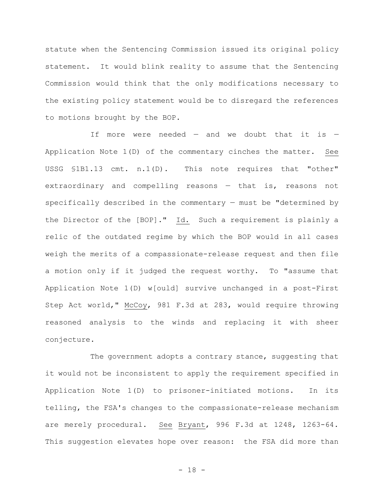statute when the Sentencing Commission issued its original policy statement. It would blink reality to assume that the Sentencing Commission would think that the only modifications necessary to the existing policy statement would be to disregard the references to motions brought by the BOP.

If more were needed  $-$  and we doubt that it is  $-$ Application Note 1(D) of the commentary cinches the matter. See USSG §1B1.13 cmt. n.1(D). This note requires that "other" extraordinary and compelling reasons — that is, reasons not specifically described in the commentary — must be "determined by the Director of the  $[BOP]$ ." Id. Such a requirement is plainly a relic of the outdated regime by which the BOP would in all cases weigh the merits of a compassionate-release request and then file a motion only if it judged the request worthy. To "assume that Application Note 1(D) w[ould] survive unchanged in a post-First Step Act world," McCoy, 981 F.3d at 283, would require throwing reasoned analysis to the winds and replacing it with sheer conjecture.

The government adopts a contrary stance, suggesting that it would not be inconsistent to apply the requirement specified in Application Note 1(D) to prisoner-initiated motions. In its telling, the FSA's changes to the compassionate-release mechanism are merely procedural. See Bryant, 996 F.3d at 1248, 1263-64. This suggestion elevates hope over reason: the FSA did more than

- 18 -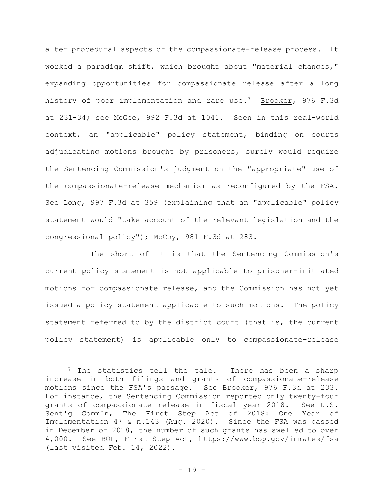alter procedural aspects of the compassionate-release process. It worked a paradigm shift, which brought about "material changes," expanding opportunities for compassionate release after a long history of poor implementation and rare use.<sup>7</sup> Brooker, 976 F.3d at 231-34; see McGee, 992 F.3d at 1041. Seen in this real-world context, an "applicable" policy statement, binding on courts adjudicating motions brought by prisoners, surely would require the Sentencing Commission's judgment on the "appropriate" use of the compassionate-release mechanism as reconfigured by the FSA. See Long, 997 F.3d at 359 (explaining that an "applicable" policy statement would "take account of the relevant legislation and the congressional policy"); McCoy, 981 F.3d at 283.

The short of it is that the Sentencing Commission's current policy statement is not applicable to prisoner-initiated motions for compassionate release, and the Commission has not yet issued a policy statement applicable to such motions. The policy statement referred to by the district court (that is, the current policy statement) is applicable only to compassionate-release

<sup>&</sup>lt;sup>7</sup> The statistics tell the tale. There has been a sharp increase in both filings and grants of compassionate-release motions since the FSA's passage. See Brooker, 976 F.3d at 233. For instance, the Sentencing Commission reported only twenty-four grants of compassionate release in fiscal year 2018. See U.S. Sent'g Comm'n, The First Step Act of 2018: One Year of Implementation 47 & n.143 (Aug. 2020). Since the FSA was passed in December of 2018, the number of such grants has swelled to over 4,000. See BOP, First Step Act,<https://www.bop.gov/inmates/fsa> (last visited Feb. 14, 2022).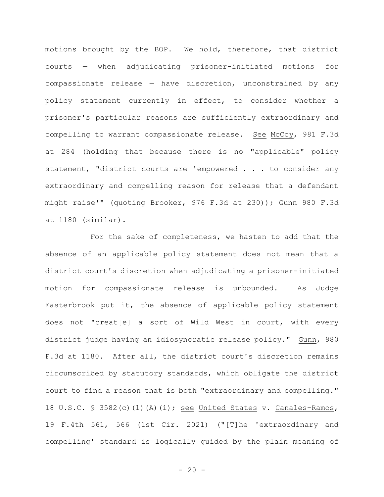motions brought by the BOP. We hold, therefore, that district courts — when adjudicating prisoner-initiated motions for compassionate release — have discretion, unconstrained by any policy statement currently in effect, to consider whether a prisoner's particular reasons are sufficiently extraordinary and compelling to warrant compassionate release. See McCoy, 981 F.3d at 284 (holding that because there is no "applicable" policy statement, "district courts are 'empowered . . . to consider any extraordinary and compelling reason for release that a defendant might raise'" (quoting Brooker, 976 F.3d at 230)); Gunn 980 F.3d at 1180 (similar).

For the sake of completeness, we hasten to add that the absence of an applicable policy statement does not mean that a district court's discretion when adjudicating a prisoner-initiated motion for compassionate release is unbounded. As Judge Easterbrook put it, the absence of applicable policy statement does not "creat[e] a sort of Wild West in court, with every district judge having an idiosyncratic release policy." Gunn, 980 F.3d at 1180. After all, the district court's discretion remains circumscribed by statutory standards, which obligate the district court to find a reason that is both "extraordinary and compelling." 18 U.S.C. § 3582(c)(1)(A)(i); see United States v. Canales-Ramos, 19 F.4th 561, 566 (1st Cir. 2021) ("[T]he 'extraordinary and compelling' standard is logically guided by the plain meaning of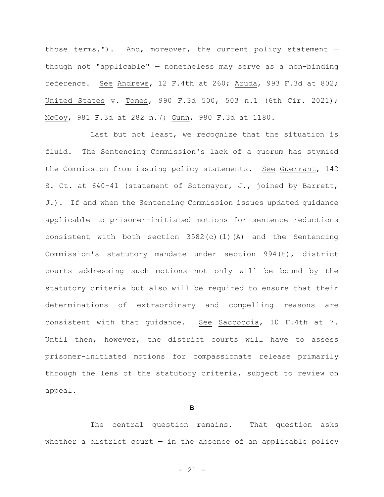those terms."). And, moreover, the current policy statement  $$ though not "applicable" — nonetheless may serve as a non-binding reference. See Andrews, 12 F.4th at 260; Aruda, 993 F.3d at 802; United States v. Tomes, 990 F.3d 500, 503 n.1 (6th Cir. 2021); McCoy, 981 F.3d at 282 n.7; Gunn, 980 F.3d at 1180.

Last but not least, we recognize that the situation is fluid. The Sentencing Commission's lack of a quorum has stymied the Commission from issuing policy statements. See Guerrant, 142 S. Ct. at 640-41 (statement of Sotomayor, J., joined by Barrett, J.). If and when the Sentencing Commission issues updated guidance applicable to prisoner-initiated motions for sentence reductions consistent with both section 3582(c)(1)(A) and the Sentencing Commission's statutory mandate under section 994(t), district courts addressing such motions not only will be bound by the statutory criteria but also will be required to ensure that their determinations of extraordinary and compelling reasons are consistent with that guidance. See Saccoccia, 10 F.4th at 7. Until then, however, the district courts will have to assess prisoner-initiated motions for compassionate release primarily through the lens of the statutory criteria, subject to review on appeal.

#### **B**

The central question remains. That question asks whether a district court  $-$  in the absence of an applicable policy

- 21 -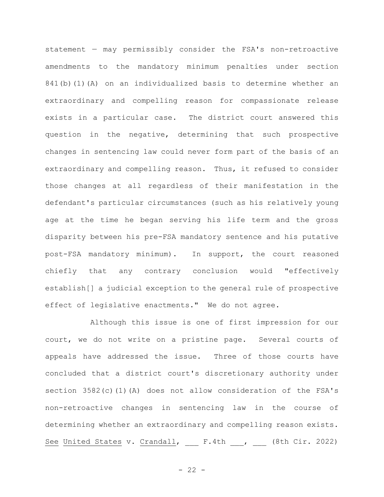statement — may permissibly consider the FSA's non-retroactive amendments to the mandatory minimum penalties under section 841(b)(1)(A) on an individualized basis to determine whether an extraordinary and compelling reason for compassionate release exists in a particular case. The district court answered this question in the negative, determining that such prospective changes in sentencing law could never form part of the basis of an extraordinary and compelling reason. Thus, it refused to consider those changes at all regardless of their manifestation in the defendant's particular circumstances (such as his relatively young age at the time he began serving his life term and the gross disparity between his pre-FSA mandatory sentence and his putative post-FSA mandatory minimum). In support, the court reasoned chiefly that any contrary conclusion would "effectively establish[] a judicial exception to the general rule of prospective effect of legislative enactments." We do not agree.

Although this issue is one of first impression for our court, we do not write on a pristine page. Several courts of appeals have addressed the issue. Three of those courts have concluded that a district court's discretionary authority under section 3582(c)(1)(A) does not allow consideration of the FSA's non-retroactive changes in sentencing law in the course of determining whether an extraordinary and compelling reason exists. See United States v. Crandall, F.4th , (8th Cir. 2022)

 $- 22 -$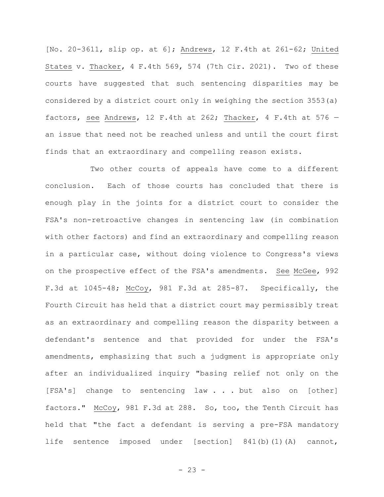[No. 20-3611, slip op. at 6]; Andrews, 12 F.4th at 261-62; United States v. Thacker, 4 F.4th 569, 574 (7th Cir. 2021). Two of these courts have suggested that such sentencing disparities may be considered by a district court only in weighing the section 3553(a) factors, see Andrews, 12 F.4th at 262; Thacker, 4 F.4th at 576  $$ an issue that need not be reached unless and until the court first finds that an extraordinary and compelling reason exists.

Two other courts of appeals have come to a different conclusion. Each of those courts has concluded that there is enough play in the joints for a district court to consider the FSA's non-retroactive changes in sentencing law (in combination with other factors) and find an extraordinary and compelling reason in a particular case, without doing violence to Congress's views on the prospective effect of the FSA's amendments. See McGee, 992 F.3d at 1045-48; McCoy, 981 F.3d at 285-87. Specifically, the Fourth Circuit has held that a district court may permissibly treat as an extraordinary and compelling reason the disparity between a defendant's sentence and that provided for under the FSA's amendments, emphasizing that such a judgment is appropriate only after an individualized inquiry "basing relief not only on the [FSA's] change to sentencing law . . . but also on [other] factors." McCoy, 981 F.3d at 288. So, too, the Tenth Circuit has held that "the fact a defendant is serving a pre-FSA mandatory life sentence imposed under [section] 841(b)(1)(A) cannot,

 $- 23 -$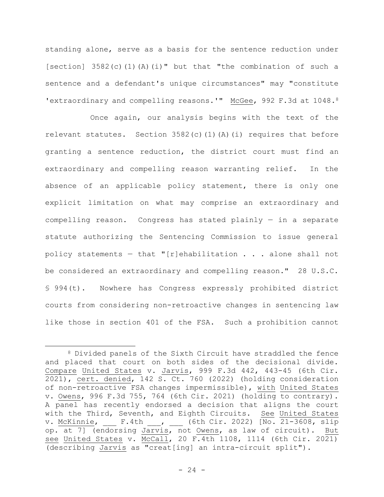standing alone, serve as a basis for the sentence reduction under [section] 3582(c)(1)(A)(i)" but that "the combination of such a sentence and a defendant's unique circumstances" may "constitute 'extraordinary and compelling reasons.'" McGee, 992 F.3d at 1048.8

Once again, our analysis begins with the text of the relevant statutes. Section 3582(c)(1)(A)(i) requires that before granting a sentence reduction, the district court must find an extraordinary and compelling reason warranting relief. In the absence of an applicable policy statement, there is only one explicit limitation on what may comprise an extraordinary and compelling reason. Congress has stated plainly — in a separate statute authorizing the Sentencing Commission to issue general policy statements - that "[r]ehabilitation  $\ldots$  . alone shall not be considered an extraordinary and compelling reason." 28 U.S.C. § 994(t). Nowhere has Congress expressly prohibited district courts from considering non-retroactive changes in sentencing law like those in section 401 of the FSA. Such a prohibition cannot

<sup>8</sup> Divided panels of the Sixth Circuit have straddled the fence and placed that court on both sides of the decisional divide. Compare United States v. Jarvis, 999 F.3d 442, 443-45 (6th Cir. 2021), cert. denied, 142 S. Ct. 760 (2022) (holding consideration of non-retroactive FSA changes impermissible), with United States v. Owens, 996 F.3d 755, 764 (6th Cir. 2021) (holding to contrary). A panel has recently endorsed a decision that aligns the court with the Third, Seventh, and Eighth Circuits. See United States v. McKinnie, \_\_\_ F.4th \_\_\_, \_\_\_ (6th Cir. 2022) [No. 21-3608, slip op. at 7] (endorsing Jarvis, not Owens, as law of circuit). But see United States v. McCall, 20 F.4th 1108, 1114 (6th Cir. 2021) (describing Jarvis as "creat[ing] an intra-circuit split").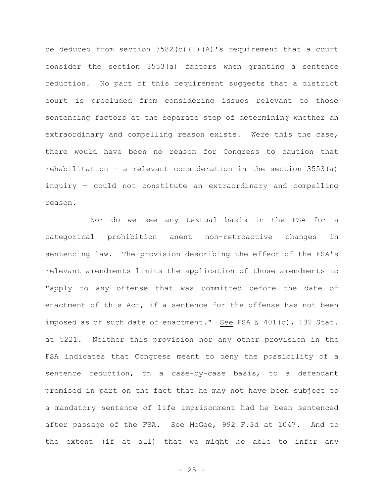be deduced from section  $3582(c)(1)(A)'$ s requirement that a court consider the section 3553(a) factors when granting a sentence reduction. No part of this requirement suggests that a district court is precluded from considering issues relevant to those sentencing factors at the separate step of determining whether an extraordinary and compelling reason exists. Were this the case, there would have been no reason for Congress to caution that rehabilitation  $-$  a relevant consideration in the section 3553(a) inquiry — could not constitute an extraordinary and compelling reason.

Nor do we see any textual basis in the FSA for a categorical prohibition anent non-retroactive changes in sentencing law. The provision describing the effect of the FSA's relevant amendments limits the application of those amendments to "apply to any offense that was committed before the date of enactment of this Act, if a sentence for the offense has not been imposed as of such date of enactment." See FSA § 401(c), 132 Stat. at 5221. Neither this provision nor any other provision in the FSA indicates that Congress meant to deny the possibility of a sentence reduction, on a case-by-case basis, to a defendant premised in part on the fact that he may not have been subject to a mandatory sentence of life imprisonment had he been sentenced after passage of the FSA. See McGee, 992 F.3d at 1047. And to the extent (if at all) that we might be able to infer any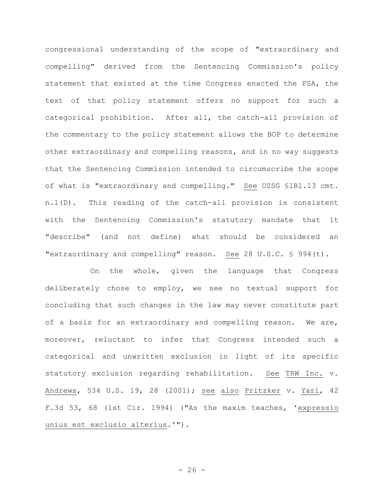congressional understanding of the scope of "extraordinary and compelling" derived from the Sentencing Commission's policy statement that existed at the time Congress enacted the FSA, the text of that policy statement offers no support for such a categorical prohibition. After all, the catch-all provision of the commentary to the policy statement allows the BOP to determine other extraordinary and compelling reasons, and in no way suggests that the Sentencing Commission intended to circumscribe the scope of what is "extraordinary and compelling." See USSG §1B1.13 cmt. n.1(D). This reading of the catch-all provision is consistent with the Sentencing Commission's statutory mandate that it "describe" (and not define) what should be considered an "extraordinary and compelling" reason. See 28 U.S.C. § 994(t).

On the whole, given the language that Congress deliberately chose to employ, we see no textual support for concluding that such changes in the law may never constitute part of a basis for an extraordinary and compelling reason. We are, moreover, reluctant to infer that Congress intended such a categorical and unwritten exclusion in light of its specific statutory exclusion regarding rehabilitation. See TRW Inc. v. Andrews, 534 U.S. 19, 28 (2001); see also Pritzker v. Yari, 42 F.3d 53, 68 (1st Cir. 1994) ("As the maxim teaches, 'expressio unius est exclusio alterius.'").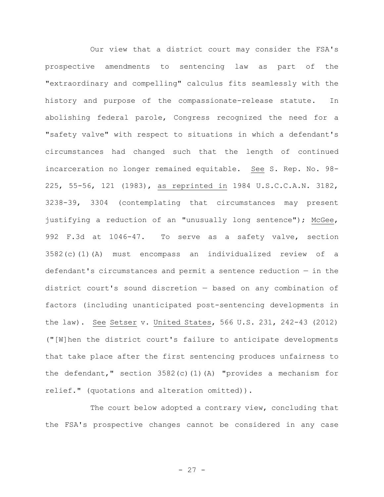Our view that a district court may consider the FSA's prospective amendments to sentencing law as part of the "extraordinary and compelling" calculus fits seamlessly with the history and purpose of the compassionate-release statute. In abolishing federal parole, Congress recognized the need for a "safety valve" with respect to situations in which a defendant's circumstances had changed such that the length of continued incarceration no longer remained equitable. See S. Rep. No. 98- 225, 55-56, 121 (1983), as reprinted in 1984 U.S.C.C.A.N. 3182, 3238-39, 3304 (contemplating that circumstances may present justifying a reduction of an "unusually long sentence"); McGee, 992 F.3d at 1046-47. To serve as a safety valve, section 3582(c)(1)(A) must encompass an individualized review of a defendant's circumstances and permit a sentence reduction — in the district court's sound discretion — based on any combination of factors (including unanticipated post-sentencing developments in the law). See Setser v. United States, 566 U.S. 231, 242-43 (2012) ("[W]hen the district court's failure to anticipate developments that take place after the first sentencing produces unfairness to the defendant," section 3582(c)(1)(A) "provides a mechanism for relief." (quotations and alteration omitted)).

The court below adopted a contrary view, concluding that the FSA's prospective changes cannot be considered in any case

- 27 -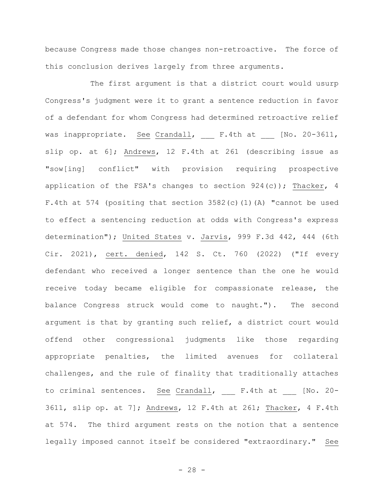because Congress made those changes non-retroactive. The force of this conclusion derives largely from three arguments.

The first argument is that a district court would usurp Congress's judgment were it to grant a sentence reduction in favor of a defendant for whom Congress had determined retroactive relief was inappropriate. See Crandall, F.4th at [No. 20-3611, slip op. at 6]; Andrews, 12 F.4th at 261 (describing issue as "sow[ing] conflict" with provision requiring prospective application of the FSA's changes to section 924(c)); Thacker, 4 F.4th at 574 (positing that section 3582(c)(1)(A) "cannot be used to effect a sentencing reduction at odds with Congress's express determination"); United States v. Jarvis, 999 F.3d 442, 444 (6th Cir. 2021), cert. denied, 142 S. Ct. 760 (2022) ("If every defendant who received a longer sentence than the one he would receive today became eligible for compassionate release, the balance Congress struck would come to naught."). The second argument is that by granting such relief, a district court would offend other congressional judgments like those regarding appropriate penalties, the limited avenues for collateral challenges, and the rule of finality that traditionally attaches to criminal sentences. See Crandall, F.4th at [No. 20-3611, slip op. at 7]; Andrews, 12 F.4th at 261; Thacker, 4 F.4th at 574. The third argument rests on the notion that a sentence legally imposed cannot itself be considered "extraordinary." See

- 28 -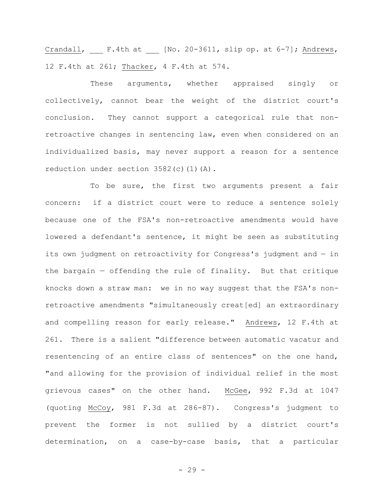Crandall,  $F.4th$  at  $[No. 20-3611, slip op. at 6-7];$  Andrews, 12 F.4th at 261; Thacker, 4 F.4th at 574.

These arguments, whether appraised singly or collectively, cannot bear the weight of the district court's conclusion. They cannot support a categorical rule that nonretroactive changes in sentencing law, even when considered on an individualized basis, may never support a reason for a sentence reduction under section 3582(c)(1)(A).

To be sure, the first two arguments present a fair concern: if a district court were to reduce a sentence solely because one of the FSA's non-retroactive amendments would have lowered a defendant's sentence, it might be seen as substituting its own judgment on retroactivity for Congress's judgment and — in the bargain — offending the rule of finality. But that critique knocks down a straw man: we in no way suggest that the FSA's nonretroactive amendments "simultaneously creat[ed] an extraordinary and compelling reason for early release." Andrews, 12 F.4th at 261. There is a salient "difference between automatic vacatur and resentencing of an entire class of sentences" on the one hand, "and allowing for the provision of individual relief in the most grievous cases" on the other hand. McGee, 992 F.3d at 1047 (quoting McCoy, 981 F.3d at 286-87). Congress's judgment to prevent the former is not sullied by a district court's determination, on a case-by-case basis, that a particular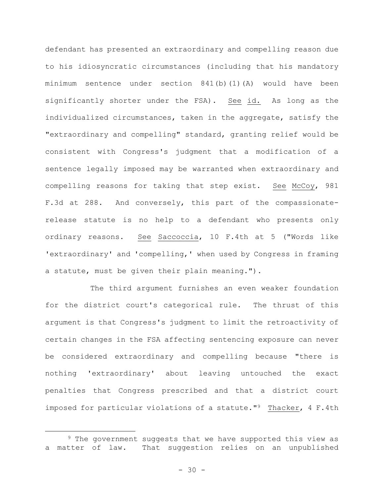defendant has presented an extraordinary and compelling reason due to his idiosyncratic circumstances (including that his mandatory minimum sentence under section 841(b)(1)(A) would have been significantly shorter under the FSA). See id. As long as the individualized circumstances, taken in the aggregate, satisfy the "extraordinary and compelling" standard, granting relief would be consistent with Congress's judgment that a modification of a sentence legally imposed may be warranted when extraordinary and compelling reasons for taking that step exist. See McCoy, 981 F.3d at 288. And conversely, this part of the compassionaterelease statute is no help to a defendant who presents only ordinary reasons. See Saccoccia, 10 F.4th at 5 ("Words like 'extraordinary' and 'compelling,' when used by Congress in framing a statute, must be given their plain meaning.").

The third argument furnishes an even weaker foundation for the district court's categorical rule. The thrust of this argument is that Congress's judgment to limit the retroactivity of certain changes in the FSA affecting sentencing exposure can never be considered extraordinary and compelling because "there is nothing 'extraordinary' about leaving untouched the exact penalties that Congress prescribed and that a district court imposed for particular violations of a statute."9 Thacker, 4 F.4th

<sup>&</sup>lt;sup>9</sup> The government suggests that we have supported this view as a matter of law. That suggestion relies on an unpublished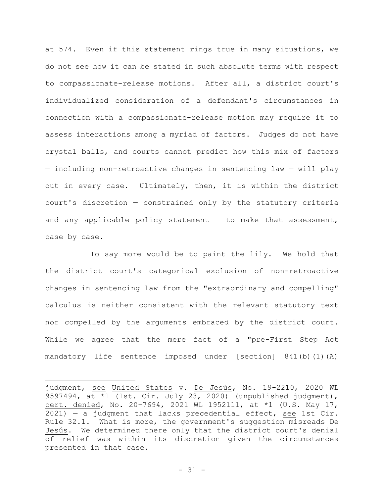at 574. Even if this statement rings true in many situations, we do not see how it can be stated in such absolute terms with respect to compassionate-release motions. After all, a district court's individualized consideration of a defendant's circumstances in connection with a compassionate-release motion may require it to assess interactions among a myriad of factors. Judges do not have crystal balls, and courts cannot predict how this mix of factors — including non-retroactive changes in sentencing law — will play out in every case. Ultimately, then, it is within the district court's discretion — constrained only by the statutory criteria and any applicable policy statement  $-$  to make that assessment, case by case.

To say more would be to paint the lily. We hold that the district court's categorical exclusion of non-retroactive changes in sentencing law from the "extraordinary and compelling" calculus is neither consistent with the relevant statutory text nor compelled by the arguments embraced by the district court. While we agree that the mere fact of a "pre-First Step Act mandatory life sentence imposed under [section] 841(b)(1)(A)

judgment, see United States v. De Jesús, No. 19-2210, 2020 WL 9597494, at \*1 (1st. Cir. July 23, 2020) (unpublished judgment), cert. denied, No. 20-7694, 2021 WL 1952111, at \*1 (U.S. May 17, 2021) — a judgment that lacks precedential effect, see 1st Cir. Rule 32.1. What is more, the government's suggestion misreads De Jesús. We determined there only that the district court's denial of relief was within its discretion given the circumstances presented in that case.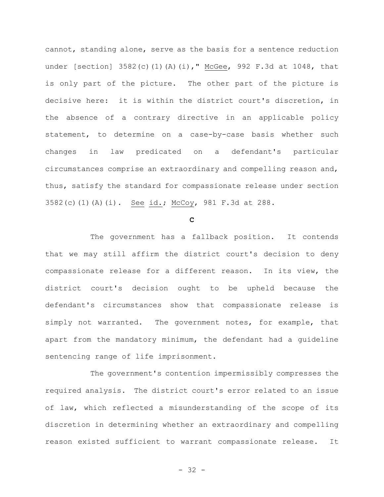cannot, standing alone, serve as the basis for a sentence reduction under [section] 3582(c)(1)(A)(i)," McGee, 992 F.3d at 1048, that is only part of the picture. The other part of the picture is decisive here: it is within the district court's discretion, in the absence of a contrary directive in an applicable policy statement, to determine on a case-by-case basis whether such changes in law predicated on a defendant's particular circumstances comprise an extraordinary and compelling reason and, thus, satisfy the standard for compassionate release under section 3582(c)(1)(A)(i). See id.; McCoy, 981 F.3d at 288.

**C**

The government has a fallback position. It contends that we may still affirm the district court's decision to deny compassionate release for a different reason. In its view, the district court's decision ought to be upheld because the defendant's circumstances show that compassionate release is simply not warranted. The government notes, for example, that apart from the mandatory minimum, the defendant had a guideline sentencing range of life imprisonment.

The government's contention impermissibly compresses the required analysis. The district court's error related to an issue of law, which reflected a misunderstanding of the scope of its discretion in determining whether an extraordinary and compelling reason existed sufficient to warrant compassionate release. It

- 32 -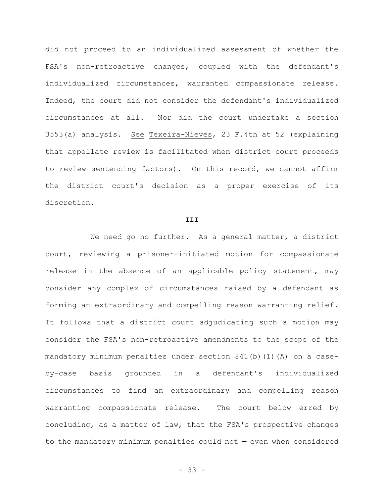did not proceed to an individualized assessment of whether the FSA's non-retroactive changes, coupled with the defendant's individualized circumstances, warranted compassionate release. Indeed, the court did not consider the defendant's individualized circumstances at all. Nor did the court undertake a section 3553(a) analysis. See Texeira-Nieves, 23 F.4th at 52 (explaining that appellate review is facilitated when district court proceeds to review sentencing factors). On this record, we cannot affirm the district court's decision as a proper exercise of its discretion.

#### **III**

We need go no further. As a general matter, a district court, reviewing a prisoner-initiated motion for compassionate release in the absence of an applicable policy statement, may consider any complex of circumstances raised by a defendant as forming an extraordinary and compelling reason warranting relief. It follows that a district court adjudicating such a motion may consider the FSA's non-retroactive amendments to the scope of the mandatory minimum penalties under section 841(b)(1)(A) on a caseby-case basis grounded in a defendant's individualized circumstances to find an extraordinary and compelling reason warranting compassionate release. The court below erred by concluding, as a matter of law, that the FSA's prospective changes to the mandatory minimum penalties could not — even when considered

- 33 -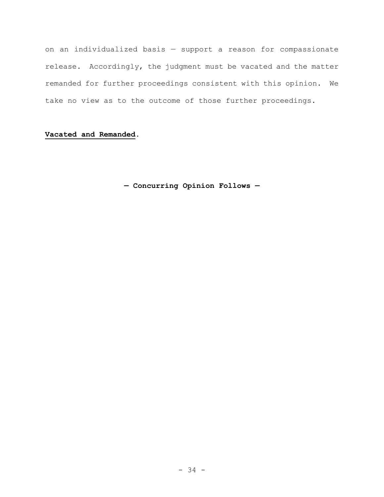on an individualized basis — support a reason for compassionate release. Accordingly, the judgment must be vacated and the matter remanded for further proceedings consistent with this opinion. We take no view as to the outcome of those further proceedings.

## **Vacated and Remanded.**

**— Concurring Opinion Follows —**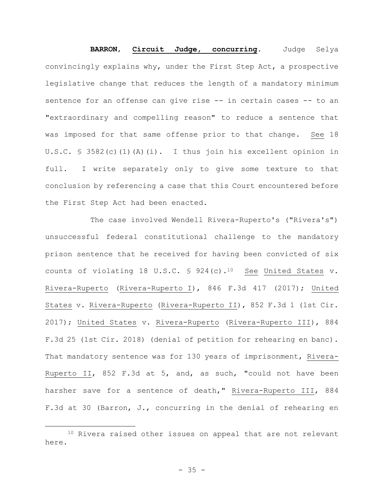**BARRON**, **Circuit Judge, concurring**. Judge Selya convincingly explains why, under the First Step Act, a prospective legislative change that reduces the length of a mandatory minimum sentence for an offense can give rise -- in certain cases -- to an "extraordinary and compelling reason" to reduce a sentence that was imposed for that same offense prior to that change. See 18 U.S.C. § 3582(c)(1)(A)(i). I thus join his excellent opinion in full. I write separately only to give some texture to that conclusion by referencing a case that this Court encountered before the First Step Act had been enacted.

The case involved Wendell Rivera-Ruperto's ("Rivera's") unsuccessful federal constitutional challenge to the mandatory prison sentence that he received for having been convicted of six counts of violating 18 U.S.C.  $\frac{10}{10}$  See United States v. Rivera-Ruperto (Rivera-Ruperto I), 846 F.3d 417 (2017); United States v. Rivera-Ruperto (Rivera-Ruperto II), 852 F.3d 1 (1st Cir. 2017); United States v. Rivera-Ruperto (Rivera-Ruperto III), 884 F.3d 25 (1st Cir. 2018) (denial of petition for rehearing en banc). That mandatory sentence was for 130 years of imprisonment, Rivera-Ruperto II, 852 F.3d at 5, and, as such, "could not have been harsher save for a sentence of death," Rivera-Ruperto III, 884 F.3d at 30 (Barron, J., concurring in the denial of rehearing en

<sup>&</sup>lt;sup>10</sup> Rivera raised other issues on appeal that are not relevant here.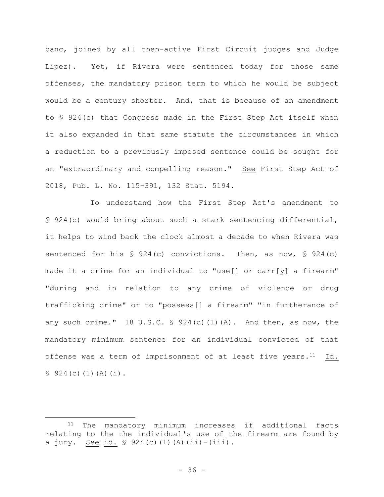banc, joined by all then-active First Circuit judges and Judge Lipez). Yet, if Rivera were sentenced today for those same offenses, the mandatory prison term to which he would be subject would be a century shorter. And, that is because of an amendment to § 924(c) that Congress made in the First Step Act itself when it also expanded in that same statute the circumstances in which a reduction to a previously imposed sentence could be sought for an "extraordinary and compelling reason." See First Step Act of 2018, Pub. L. No. 115-391, 132 Stat. 5194.

To understand how the First Step Act's amendment to § 924(c) would bring about such a stark sentencing differential, it helps to wind back the clock almost a decade to when Rivera was sentenced for his § 924(c) convictions. Then, as now, § 924(c) made it a crime for an individual to "use[] or carr[y] a firearm" "during and in relation to any crime of violence or drug trafficking crime" or to "possess[] a firearm" "in furtherance of any such crime." 18 U.S.C.  $\frac{1}{2}$  924(c)(1)(A). And then, as now, the mandatory minimum sentence for an individual convicted of that offense was a term of imprisonment of at least five years. $11$  Id.  $$924(c)(1)(A)(i).$ 

<sup>11</sup> The mandatory minimum increases if additional facts relating to the the individual's use of the firearm are found by a jury. See id.  $$ 924(c) (1) (A) (ii)-(iii)$ .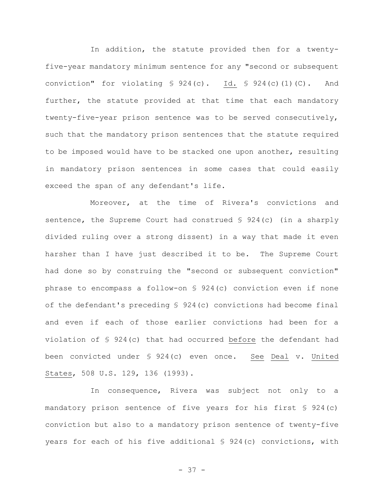In addition, the statute provided then for a twentyfive-year mandatory minimum sentence for any "second or subsequent conviction" for violating § 924(c). Id. § 924(c)(1)(C). And further, the statute provided at that time that each mandatory twenty-five-year prison sentence was to be served consecutively, such that the mandatory prison sentences that the statute required to be imposed would have to be stacked one upon another, resulting in mandatory prison sentences in some cases that could easily exceed the span of any defendant's life.

Moreover, at the time of Rivera's convictions and sentence, the Supreme Court had construed § 924(c) (in a sharply divided ruling over a strong dissent) in a way that made it even harsher than I have just described it to be. The Supreme Court had done so by construing the "second or subsequent conviction" phrase to encompass a follow-on § 924(c) conviction even if none of the defendant's preceding § 924(c) convictions had become final and even if each of those earlier convictions had been for a violation of § 924(c) that had occurred before the defendant had been convicted under § 924(c) even once. See Deal v. United States, 508 U.S. 129, 136 (1993).

In consequence, Rivera was subject not only to a mandatory prison sentence of five years for his first § 924(c) conviction but also to a mandatory prison sentence of twenty-five years for each of his five additional § 924(c) convictions, with

- 37 -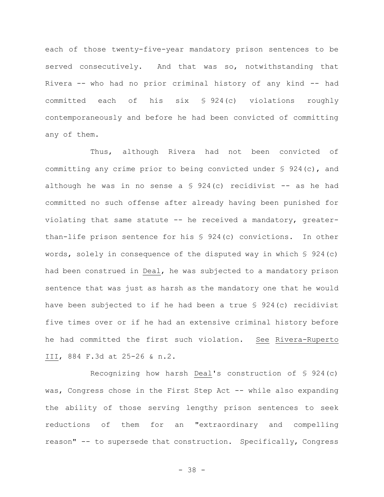each of those twenty-five-year mandatory prison sentences to be served consecutively. And that was so, notwithstanding that Rivera -- who had no prior criminal history of any kind -- had committed each of his six § 924(c) violations roughly contemporaneously and before he had been convicted of committing any of them.

Thus, although Rivera had not been convicted of committing any crime prior to being convicted under § 924(c), and although he was in no sense a  $\S$  924(c) recidivist -- as he had committed no such offense after already having been punished for violating that same statute -- he received a mandatory, greaterthan-life prison sentence for his § 924(c) convictions. In other words, solely in consequence of the disputed way in which § 924(c) had been construed in Deal, he was subjected to a mandatory prison sentence that was just as harsh as the mandatory one that he would have been subjected to if he had been a true § 924(c) recidivist five times over or if he had an extensive criminal history before he had committed the first such violation. See Rivera-Ruperto III, 884 F.3d at 25-26 & n.2.

Recognizing how harsh Deal's construction of § 924(c) was, Congress chose in the First Step Act -- while also expanding the ability of those serving lengthy prison sentences to seek reductions of them for an "extraordinary and compelling reason" -- to supersede that construction. Specifically, Congress

- 38 -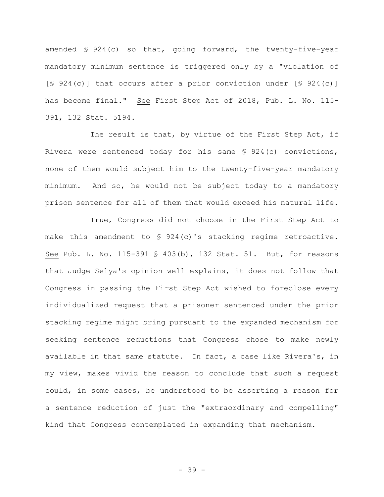amended § 924(c) so that, going forward, the twenty-five-year mandatory minimum sentence is triggered only by a "violation of [§ 924(c)] that occurs after a prior conviction under [§ 924(c)] has become final." See First Step Act of 2018, Pub. L. No. 115- 391, 132 Stat. 5194.

The result is that, by virtue of the First Step Act, if Rivera were sentenced today for his same § 924(c) convictions, none of them would subject him to the twenty-five-year mandatory minimum. And so, he would not be subject today to a mandatory prison sentence for all of them that would exceed his natural life.

True, Congress did not choose in the First Step Act to make this amendment to  $\frac{1}{2}$  924(c)'s stacking regime retroactive. See Pub. L. No. 115-391 § 403(b), 132 Stat. 51. But, for reasons that Judge Selya's opinion well explains, it does not follow that Congress in passing the First Step Act wished to foreclose every individualized request that a prisoner sentenced under the prior stacking regime might bring pursuant to the expanded mechanism for seeking sentence reductions that Congress chose to make newly available in that same statute. In fact, a case like Rivera's, in my view, makes vivid the reason to conclude that such a request could, in some cases, be understood to be asserting a reason for a sentence reduction of just the "extraordinary and compelling" kind that Congress contemplated in expanding that mechanism.

- 39 -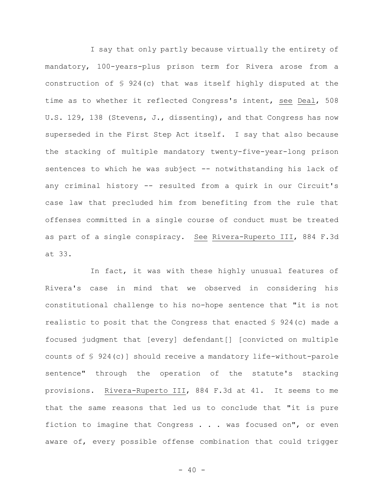I say that only partly because virtually the entirety of mandatory, 100-years-plus prison term for Rivera arose from a construction of § 924(c) that was itself highly disputed at the time as to whether it reflected Congress's intent, see Deal, 508 U.S. 129, 138 (Stevens, J., dissenting), and that Congress has now superseded in the First Step Act itself. I say that also because the stacking of multiple mandatory twenty-five-year-long prison sentences to which he was subject -- notwithstanding his lack of any criminal history -- resulted from a quirk in our Circuit's case law that precluded him from benefiting from the rule that offenses committed in a single course of conduct must be treated as part of a single conspiracy. See Rivera-Ruperto III, 884 F.3d at 33.

In fact, it was with these highly unusual features of Rivera's case in mind that we observed in considering his constitutional challenge to his no-hope sentence that "it is not realistic to posit that the Congress that enacted § 924(c) made a focused judgment that [every] defendant[] [convicted on multiple counts of § 924(c)] should receive a mandatory life-without-parole sentence" through the operation of the statute's stacking provisions. Rivera-Ruperto III, 884 F.3d at 41. It seems to me that the same reasons that led us to conclude that "it is pure fiction to imagine that Congress . . . was focused on", or even aware of, every possible offense combination that could trigger

 $- 40 -$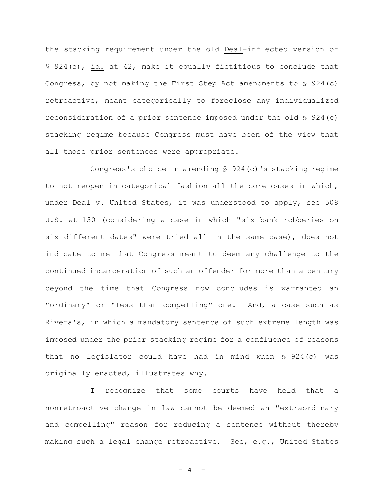the stacking requirement under the old Deal-inflected version of § 924(c), id. at 42, make it equally fictitious to conclude that Congress, by not making the First Step Act amendments to § 924(c) retroactive, meant categorically to foreclose any individualized reconsideration of a prior sentence imposed under the old § 924(c) stacking regime because Congress must have been of the view that all those prior sentences were appropriate.

Congress's choice in amending § 924(c)'s stacking regime to not reopen in categorical fashion all the core cases in which, under Deal v. United States, it was understood to apply, see 508 U.S. at 130 (considering a case in which "six bank robberies on six different dates" were tried all in the same case), does not indicate to me that Congress meant to deem any challenge to the continued incarceration of such an offender for more than a century beyond the time that Congress now concludes is warranted an "ordinary" or "less than compelling" one. And, a case such as Rivera's, in which a mandatory sentence of such extreme length was imposed under the prior stacking regime for a confluence of reasons that no legislator could have had in mind when § 924(c) was originally enacted, illustrates why.

I recognize that some courts have held that a nonretroactive change in law cannot be deemed an "extraordinary and compelling" reason for reducing a sentence without thereby making such a legal change retroactive. See, e.g., United States

- 41 -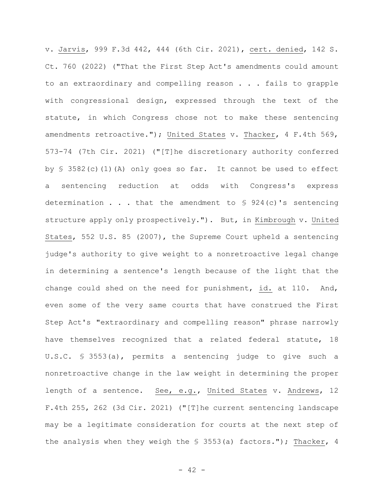v. Jarvis, 999 F.3d 442, 444 (6th Cir. 2021), cert. denied, 142 S. Ct. 760 (2022) ("That the First Step Act's amendments could amount to an extraordinary and compelling reason . . . fails to grapple with congressional design, expressed through the text of the statute, in which Congress chose not to make these sentencing amendments retroactive."); United States v. Thacker, 4 F.4th 569, 573-74 (7th Cir. 2021) ("[T]he discretionary authority conferred by § 3582(c)(1)(A) only goes so far. It cannot be used to effect a sentencing reduction at odds with Congress's express determination . . . that the amendment to § 924(c)'s sentencing structure apply only prospectively."). But, in Kimbrough v. United States, 552 U.S. 85 (2007), the Supreme Court upheld a sentencing judge's authority to give weight to a nonretroactive legal change in determining a sentence's length because of the light that the change could shed on the need for punishment, id. at 110. And, even some of the very same courts that have construed the First Step Act's "extraordinary and compelling reason" phrase narrowly have themselves recognized that a related federal statute, 18 U.S.C. § 3553(a), permits a sentencing judge to give such a nonretroactive change in the law weight in determining the proper length of a sentence. See, e.g., United States v. Andrews, 12 F.4th 255, 262 (3d Cir. 2021) ("[T]he current sentencing landscape may be a legitimate consideration for courts at the next step of the analysis when they weigh the § 3553(a) factors."); Thacker, 4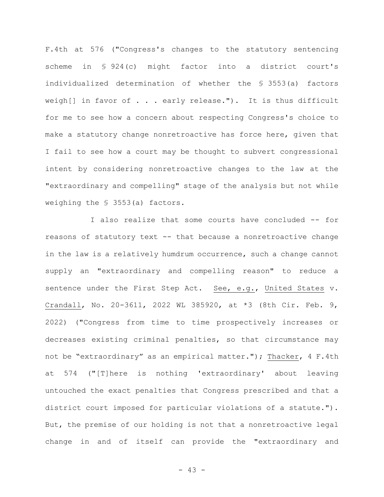F.4th at 576 ("Congress's changes to the statutory sentencing scheme in § 924(c) might factor into a district court's individualized determination of whether the § 3553(a) factors weigh[] in favor of . . . early release."). It is thus difficult for me to see how a concern about respecting Congress's choice to make a statutory change nonretroactive has force here, given that I fail to see how a court may be thought to subvert congressional intent by considering nonretroactive changes to the law at the "extraordinary and compelling" stage of the analysis but not while weighing the § 3553(a) factors.

I also realize that some courts have concluded -- for reasons of statutory text -- that because a nonretroactive change in the law is a relatively humdrum occurrence, such a change cannot supply an "extraordinary and compelling reason" to reduce a sentence under the First Step Act. See, e.g., United States v. Crandall, No. 20-3611, 2022 WL 385920, at \*3 (8th Cir. Feb. 9, 2022) ("Congress from time to time prospectively increases or decreases existing criminal penalties, so that circumstance may not be "extraordinary" as an empirical matter."); Thacker, 4 F.4th at 574 ("[T]here is nothing 'extraordinary' about leaving untouched the exact penalties that Congress prescribed and that a district court imposed for particular violations of a statute."). But, the premise of our holding is not that a nonretroactive legal change in and of itself can provide the "extraordinary and